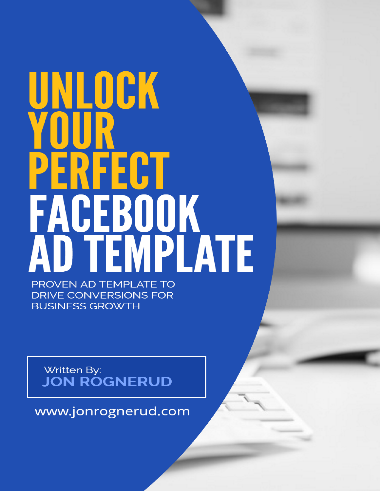# UNLOCK PERFECT **FACEBOOK**<br>AD TEMPLATE PROVEN AD TEMPLATE TO

**DRIVE CONVERSIONS FOR BUSINESS GROWTH** 

Written By: **JON ROGNERUD** 

www.jonrognerud.com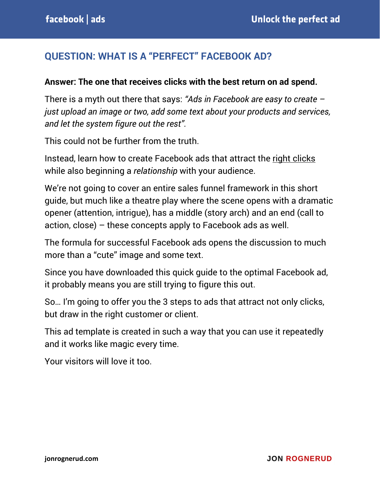#### **QUESTION: WHAT IS A "PERFECT" FACEBOOK AD?**

#### **Answer: The one that receives clicks with the best return on ad spend.**

There is a myth out there that says: *"Ads in Facebook are easy to create – just upload an image or two, add some text about your products and services, and let the system figure out the rest".*

This could not be further from the truth.

Instead, learn how to create Facebook ads that attract the right clicks while also beginning a *relationship* with your audience.

We're not going to cover an entire sales funnel framework in this short guide, but much like a theatre play where the scene opens with a dramatic opener (attention, intrigue), has a middle (story arch) and an end (call to action, close) – these concepts apply to Facebook ads as well.

The formula for successful Facebook ads opens the discussion to much more than a "cute" image and some text.

Since you have downloaded this quick guide to the optimal Facebook ad, it probably means you are still trying to figure this out.

So… I'm going to offer you the 3 steps to ads that attract not only clicks, but draw in the right customer or client.

This ad template is created in such a way that you can use it repeatedly and it works like magic every time.

Your visitors will love it too.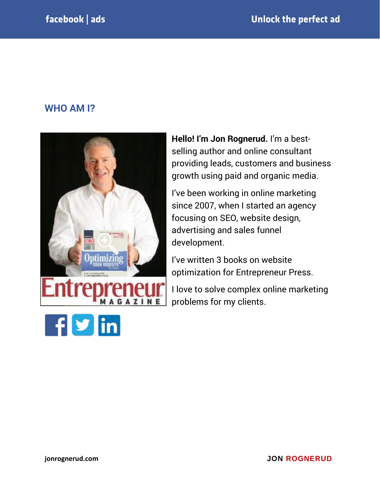#### **WHO AM I?**



**Hello! I'm Jon Rognerud.** I'm a bestselling author and online consultant providing leads, customers and business growth using paid and organic media.

I've been working in online marketing since 2007, when I started an agency focusing on SEO, website design, advertising and sales funnel development.

I've written 3 books on website optimization for Entrepreneur Press.

I love to solve complex online marketing problems for my clients.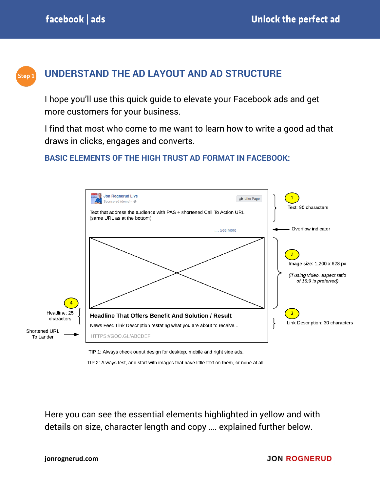

### **UNDERSTAND THE AD LAYOUT AND AD STRUCTURE**

I hope you'll use this quick guide to elevate your Facebook ads and get more customers for your business.

I find that most who come to me want to learn how to write a good ad that draws in clicks, engages and converts.

#### **BASIC ELEMENTS OF THE HIGH TRUST AD FORMAT IN FACEBOOK:**



TIP 2: Always test, and start with images that have little text on them, or none at all.

Here you can see the essential elements highlighted in yellow and with details on size, character length and copy …. explained further below.

#### **jonrognerud.com**

#### **JON ROGNERUD**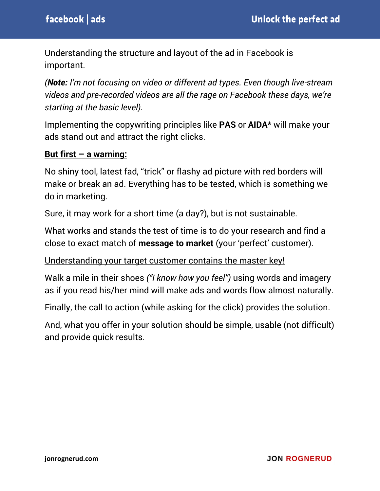Understanding the structure and layout of the ad in Facebook is important.

*(Note: I'm not focusing on video or different ad types. Even though live-stream videos and pre-recorded videos are all the rage on Facebook these days, we're starting at the basic level).*

Implementing the copywriting principles like **PAS** or **AIDA\*** will make your ads stand out and attract the right clicks.

#### **But first – a warning:**

No shiny tool, latest fad, "trick" or flashy ad picture with red borders will make or break an ad. Everything has to be tested, which is something we do in marketing.

Sure, it may work for a short time (a day?), but is not sustainable.

What works and stands the test of time is to do your research and find a close to exact match of **message to market** (your 'perfect' customer).

Understanding your target customer contains the master key!

Walk a mile in their shoes *("I know how you feel")* using words and imagery as if you read his/her mind will make ads and words flow almost naturally.

Finally, the call to action (while asking for the click) provides the solution.

And, what you offer in your solution should be simple, usable (not difficult) and provide quick results.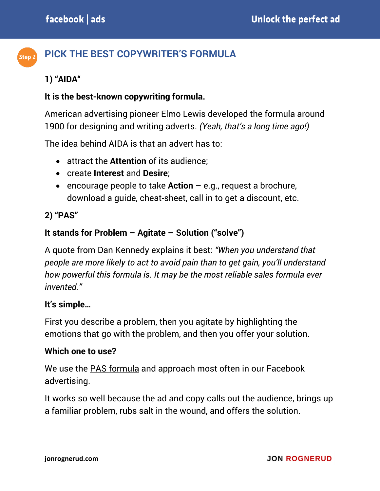#### **PICK THE BEST COPYWRITER'S FORMULA** Step<sub>2</sub>

#### **1) "AIDA"**

#### **It is the best-known copywriting formula.**

American advertising pioneer Elmo Lewis developed the formula around 1900 for designing and writing adverts. *(Yeah, that's a long time ago!)*

The idea behind AIDA is that an advert has to:

- attract the **Attention** of its audience;
- create **Interest** and **Desire**;
- encourage people to take **Action** e.g., request a brochure, download a guide, cheat-sheet, call in to get a discount, etc.

#### **2) "PAS"**

#### **It stands for Problem – Agitate – Solution ("solve")**

A quote from Dan Kennedy explains it best: *"When you understand that people are more likely to act to avoid pain than to get gain, you'll understand how powerful this formula is. It may be the most reliable sales formula ever invented."*

#### **It's simple…**

First you describe a problem, then you agitate by highlighting the emotions that go with the problem, and then you offer your solution.

#### **Which one to use?**

We use the PAS formula and approach most often in our Facebook advertising.

It works so well because the ad and copy calls out the audience, brings up a familiar problem, rubs salt in the wound, and offers the solution.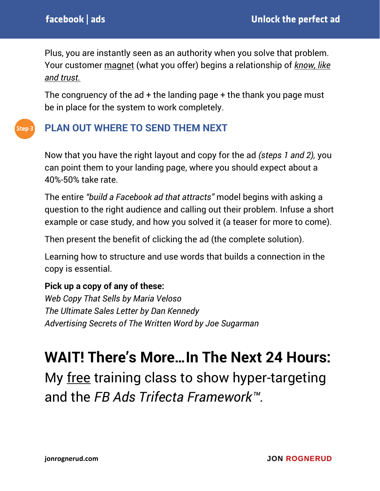Plus, you are instantly seen as an authority when you solve that problem. Your customer magnet (what you offer) begins a relationship of *know, like and trust.*

The congruency of the  $ad +$  the landing page  $+$  the thank you page must be in place for the system to work completely.

#### **PLAN OUT WHERE TO SEND THEM NEXT** Step  $\bar{z}$

Now that you have the right layout and copy for the ad *(steps 1 and 2),* you can point them to your landing page, where you should expect about a 40%-50% take rate.

The entire *"build a Facebook ad that attracts"* model begins with asking a question to the right audience and calling out their problem. Infuse a short example or case study, and how you solved it (a teaser for more to come).

Then present the benefit of clicking the ad (the complete solution).

Learning how to structure and use words that builds a connection in the copy is essential.

#### **Pick up a copy of any of these:**

*Web Copy That Sells by Maria Veloso The Ultimate Sales Letter by Dan Kennedy Advertising Secrets of The Written Word by Joe Sugarman*

# **WAIT! There's More…In The Next 24 Hours:**

My free training class to show hyper-targeting and the *FB Ads Trifecta Framework™.*